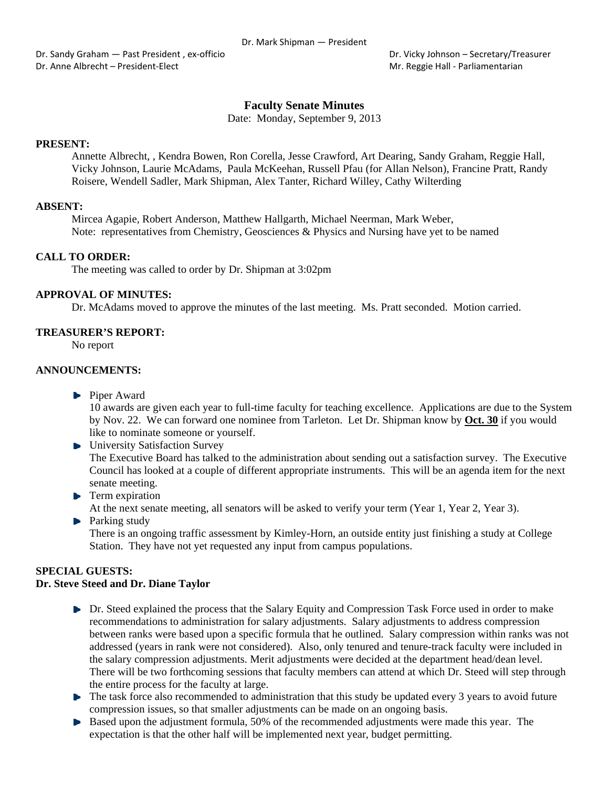Dr. Sandy Graham — Past President , ex-officio **Braham - Past President , ex**-officio **Braham - Secretary/Treasurer** Dr. Anne Albrecht – President‐Elect Mr. Reggie Hall ‐ Parliamentarian

# **Faculty Senate Minutes**

Date: Monday, September 9, 2013

#### **PRESENT:**

Annette Albrecht, , Kendra Bowen, Ron Corella, Jesse Crawford, Art Dearing, Sandy Graham, Reggie Hall, Vicky Johnson, Laurie McAdams, Paula McKeehan, Russell Pfau (for Allan Nelson), Francine Pratt, Randy Roisere, Wendell Sadler, Mark Shipman, Alex Tanter, Richard Willey, Cathy Wilterding

#### **ABSENT:**

Mircea Agapie, Robert Anderson, Matthew Hallgarth, Michael Neerman, Mark Weber, Note: representatives from Chemistry, Geosciences & Physics and Nursing have yet to be named

#### **CALL TO ORDER:**

The meeting was called to order by Dr. Shipman at 3:02pm

#### **APPROVAL OF MINUTES:**

Dr. McAdams moved to approve the minutes of the last meeting. Ms. Pratt seconded. Motion carried.

#### **TREASURER'S REPORT:**

No report

#### **ANNOUNCEMENTS:**

**Piper Award** 

10 awards are given each year to full-time faculty for teaching excellence. Applications are due to the System by Nov. 22. We can forward one nominee from Tarleton. Let Dr. Shipman know by **Oct. 30** if you would like to nominate someone or yourself.

- **E** University Satisfaction Survey The Executive Board has talked to the administration about sending out a satisfaction survey. The Executive Council has looked at a couple of different appropriate instruments. This will be an agenda item for the next senate meeting.
- $\blacktriangleright$  Term expiration

At the next senate meeting, all senators will be asked to verify your term (Year 1, Year 2, Year 3).

**Parking study** There is an ongoing traffic assessment by Kimley-Horn, an outside entity just finishing a study at College Station. They have not yet requested any input from campus populations.

# **SPECIAL GUESTS:**

# **Dr. Steve Steed and Dr. Diane Taylor**

- Dr. Steed explained the process that the Salary Equity and Compression Task Force used in order to make recommendations to administration for salary adjustments. Salary adjustments to address compression between ranks were based upon a specific formula that he outlined. Salary compression within ranks was not addressed (years in rank were not considered). Also, only tenured and tenure-track faculty were included in the salary compression adjustments. Merit adjustments were decided at the department head/dean level. There will be two forthcoming sessions that faculty members can attend at which Dr. Steed will step through the entire process for the faculty at large.
- $\blacktriangleright$  The task force also recommended to administration that this study be updated every 3 years to avoid future compression issues, so that smaller adjustments can be made on an ongoing basis.
- Based upon the adjustment formula, 50% of the recommended adjustments were made this year. The expectation is that the other half will be implemented next year, budget permitting.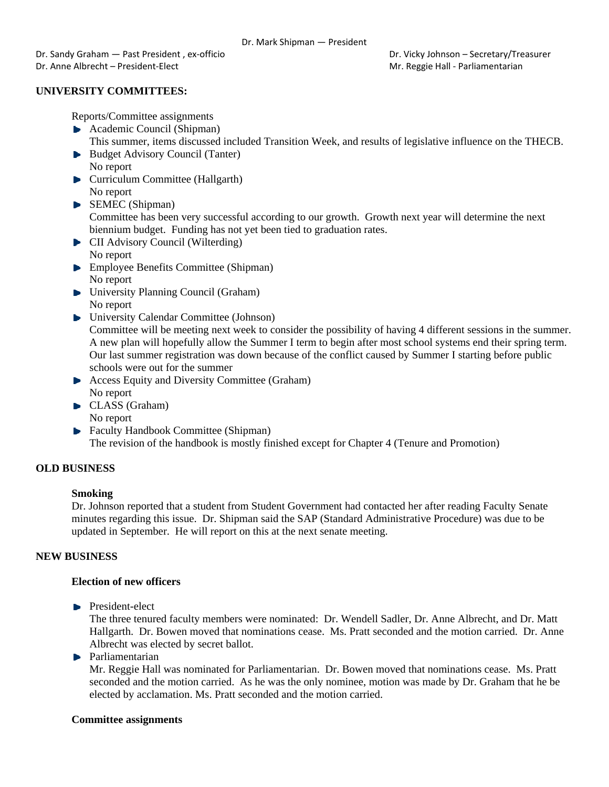Dr. Sandy Graham — Past President , ex-officio **Braham - Past President , ex**-officio **Braham - Secretary/Treasurer** Dr. Anne Albrecht – President-Elect **Mr. Reggie Hall - Parliamentarian** Mr. Reggie Hall - Parliamentarian

# **UNIVERSITY COMMITTEES:**

Reports/Committee assignments

- Academic Council (Shipman) This summer, items discussed included Transition Week, and results of legislative influence on the THECB.
- Budget Advisory Council (Tanter) No report
- **Curriculum Committee (Hallgarth)** No report
- ▶ SEMEC (Shipman) Committee has been very successful according to our growth. Growth next year will determine the next biennium budget. Funding has not yet been tied to graduation rates.
- **CII** Advisory Council (Wilterding) No report
- **Employee Benefits Committee (Shipman)** No report
- University Planning Council (Graham) No report
- University Calendar Committee (Johnson)

Committee will be meeting next week to consider the possibility of having 4 different sessions in the summer. A new plan will hopefully allow the Summer I term to begin after most school systems end their spring term. Our last summer registration was down because of the conflict caused by Summer I starting before public schools were out for the summer

- ▶ Access Equity and Diversity Committee (Graham) No report
- CLASS (Graham) No report
- **Faculty Handbook Committee (Shipman)** The revision of the handbook is mostly finished except for Chapter 4 (Tenure and Promotion)

# **OLD BUSINESS**

## **Smoking**

Dr. Johnson reported that a student from Student Government had contacted her after reading Faculty Senate minutes regarding this issue. Dr. Shipman said the SAP (Standard Administrative Procedure) was due to be updated in September. He will report on this at the next senate meeting.

## **NEW BUSINESS**

## **Election of new officers**

**President-elect** 

The three tenured faculty members were nominated: Dr. Wendell Sadler, Dr. Anne Albrecht, and Dr. Matt Hallgarth. Dr. Bowen moved that nominations cease. Ms. Pratt seconded and the motion carried. Dr. Anne Albrecht was elected by secret ballot.

**Parliamentarian** 

Mr. Reggie Hall was nominated for Parliamentarian. Dr. Bowen moved that nominations cease. Ms. Pratt seconded and the motion carried. As he was the only nominee, motion was made by Dr. Graham that he be elected by acclamation. Ms. Pratt seconded and the motion carried.

## **Committee assignments**